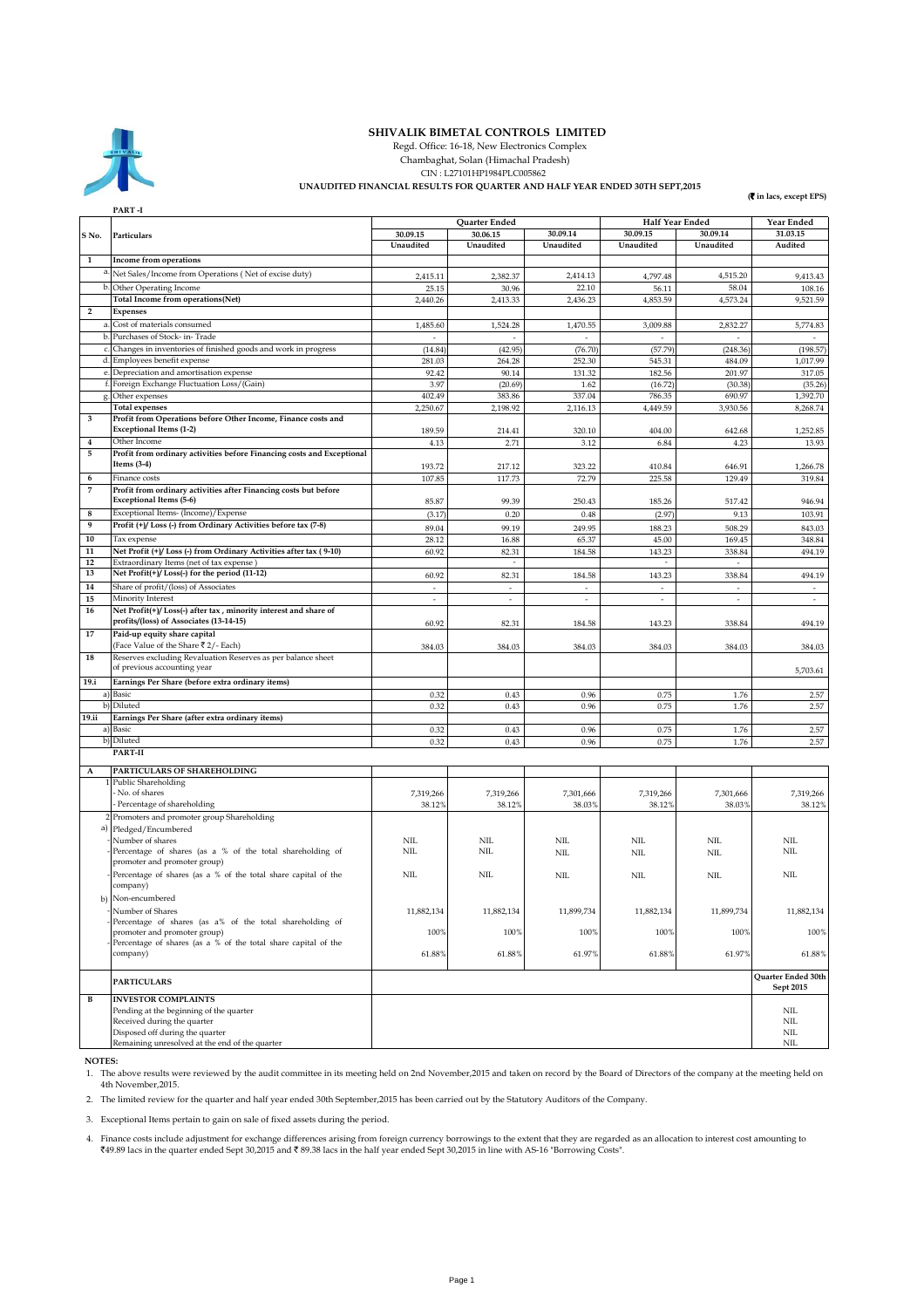

## **SHIVALIK BIMETAL CONTROLS LIMITED**

 Regd. Office: 16-18, New Electronics Complex Chambaghat, Solan (Himachal Pradesh)

CIN : L27101HP1984PLC005862

## **UNAUDITED FINANCIAL RESULTS FOR QUARTER AND HALF YEAR ENDED 30TH SEPT,2015**

**(**` **in lacs, except EPS)**

|                         | PART -I                                                                                        |                          |                           |                          |                             |                          |                          |
|-------------------------|------------------------------------------------------------------------------------------------|--------------------------|---------------------------|--------------------------|-----------------------------|--------------------------|--------------------------|
|                         |                                                                                                | 30.09.15                 | Quarter Ended<br>30.06.15 | 30.09.14                 | Half Year Ended<br>30.09.15 | 30.09.14                 | Year Ended<br>31.03.15   |
| S No.                   | Particulars                                                                                    | Unaudited                | Unaudited                 | Unaudited                | Unaudited                   | Unaudited                | Audited                  |
|                         |                                                                                                |                          |                           |                          |                             |                          |                          |
| 1                       | Income from operations                                                                         |                          |                           |                          |                             |                          |                          |
| a                       | Net Sales/Income from Operations (Net of excise duty)                                          | 2,415.11                 | 2,382.37                  | 2,414.13                 | 4,797.48                    | 4,515.20                 | 9,413.43                 |
| b                       | Other Operating Income                                                                         | 25.15                    | 30.96                     | 22.10                    | 56.11                       | 58.04                    | 108.16                   |
|                         | <b>Total Income from operations(Net)</b>                                                       | 2,440.26                 | 2,413.33                  | 2,436.23                 | 4,853.59                    | 4,573.24                 | 9,521.59                 |
| $\overline{\mathbf{2}}$ | Expenses                                                                                       |                          |                           |                          |                             |                          |                          |
| a                       | Cost of materials consumed                                                                     | 1,485.60                 | 1,524.28                  | 1,470.55                 | 3,009.88                    | 2,832.27                 | 5,774.83                 |
| $\mathbf b$             | Purchases of Stock- in-Trade                                                                   |                          |                           |                          |                             |                          |                          |
| $\mathbf c$             | Changes in inventories of finished goods and work in progress                                  | (14.84)                  | (42.95)                   | (76.70)                  | (57.79)                     | (248.36)                 | (198.57)                 |
| d.                      | Employees benefit expense                                                                      | 281.03                   | 264.28                    | 252.30                   | 545.31                      | 484.09                   | 1,017.99                 |
| е.                      | Depreciation and amortisation expense                                                          | 92.42                    | 90.14                     | 131.32                   | 182.56                      | 201.97                   | 317.05                   |
| f.                      | Foreign Exchange Fluctuation Loss/(Gain)                                                       | 3.97                     | (20.69)                   | 1.62                     | (16.72)                     | (30.38)                  | (35.26)                  |
| g.                      | Other expenses                                                                                 | 402.49                   | 383.86                    | 337.04                   | 786.35                      | 690.97                   | 1,392.70                 |
|                         | <b>Total expenses</b>                                                                          | 2,250.67                 | 2,198.92                  | 2,116.13                 | 4,449.59                    | 3,930.56                 | 8,268.74                 |
| 3                       | Profit from Operations before Other Income, Finance costs and                                  |                          |                           |                          |                             |                          |                          |
|                         | <b>Exceptional Items (1-2)</b>                                                                 | 189.59                   | 214.41                    | 320.10                   | 404.00                      | 642.68                   | 1,252.85                 |
| 4                       | Other Income                                                                                   | 4.13                     | 2.71                      | 3.12                     | 6.84                        | 4.23                     | 13.93                    |
| 5                       | Profit from ordinary activities before Financing costs and Exceptional                         |                          |                           |                          |                             |                          |                          |
|                         | Items $(3-4)$                                                                                  | 193.72                   | 217.12                    | 323.22                   | 410.84                      | 646.91                   | 1,266.78                 |
| 6                       | Finance costs                                                                                  | 107.85                   | 117.73                    | 72.79                    | 225.58                      | 129.49                   | 319.84                   |
| 7                       | Profit from ordinary activities after Financing costs but before                               |                          |                           |                          |                             |                          |                          |
|                         | Exceptional Items (5-6)                                                                        | 85.87                    | 99.39                     | 250.43                   | 185.26                      | 517.42                   | 946.94                   |
| 8                       | Exceptional Items- (Income)/Expense                                                            | (3.17)                   | 0.20                      | 0.48                     | (2.97)                      | 9.13                     | 103.91                   |
| $\boldsymbol{9}$        | Profit (+)/ Loss (-) from Ordinary Activities before tax (7-8)                                 | 89.04                    | 99.19                     | 249.95                   | 188.23                      | 508.29                   | 843.03                   |
| 10                      | Tax expense                                                                                    | 28.12                    | 16.88                     | 65.37                    | 45.00                       | 169.45                   | 348.84                   |
| 11                      | Net Profit (+)/Loss (-) from Ordinary Activities after tax (9-10)                              | 60.92                    | 82.31                     | 184.58                   | 143.23                      | 338.84                   | 494.19                   |
| 12                      | Extraordinary Items (net of tax expense)                                                       |                          | $\overline{\phantom{a}}$  |                          | $\overline{\phantom{a}}$    | $\sim$                   |                          |
| 13                      | Net Profit(+)/ Loss(-) for the period (11-12)                                                  | 60.92                    | 82.31                     | 184.58                   | 143.23                      | 338.84                   | 494.19                   |
| 14                      | Share of profit/(loss) of Associates                                                           | $\sim$                   | $\overline{\phantom{a}}$  | $\bar{z}$                | $\overline{\phantom{a}}$    | $\sim$                   | $\overline{\phantom{a}}$ |
| 15                      | Minority Interest                                                                              | $\overline{\phantom{a}}$ | $\overline{\phantom{a}}$  | $\overline{\phantom{a}}$ | ÷,                          | $\overline{\phantom{a}}$ | $\sim$                   |
| 16                      | Net Profit(+)/Loss(-) after tax, minority interest and share of                                |                          |                           |                          |                             |                          |                          |
|                         | profits/(loss) of Associates (13-14-15)                                                        | 60.92                    | 82.31                     | 184.58                   | 143.23                      | 338.84                   | 494.19                   |
| 17                      | Paid-up equity share capital                                                                   |                          |                           |                          |                             |                          |                          |
|                         | (Face Value of the Share ₹2/- Each)                                                            | 384.03                   | 384.03                    | 384.03                   | 384.03                      | 384.03                   | 384.03                   |
| 18                      | Reserves excluding Revaluation Reserves as per balance sheet                                   |                          |                           |                          |                             |                          |                          |
|                         | of previous accounting year                                                                    |                          |                           |                          |                             |                          | 5,703.61                 |
| 19.i                    | Earnings Per Share (before extra ordinary items)                                               |                          |                           |                          |                             |                          |                          |
| a)                      | Basic                                                                                          | 0.32                     | 0.43                      | 0.96                     | 0.75                        | 1.76                     | 2.57                     |
|                         | b) Diluted                                                                                     | 0.32                     | 0.43                      | 0.96                     | 0.75                        | 1.76                     | 2.57                     |
| 19.ii                   | Earnings Per Share (after extra ordinary items)                                                |                          |                           |                          |                             |                          |                          |
|                         | a) Basic                                                                                       | 0.32                     | 0.43                      | 0.96                     | 0.75                        | 1.76                     | 2.57                     |
|                         | b) Diluted                                                                                     | 0.32                     | 0.43                      | 0.96                     | 0.75                        | 1.76                     | 2.57                     |
|                         | PART-II                                                                                        |                          |                           |                          |                             |                          |                          |
| A                       | PARTICULARS OF SHAREHOLDING                                                                    |                          |                           |                          |                             |                          |                          |
|                         | 1 Public Shareholding                                                                          |                          |                           |                          |                             |                          |                          |
|                         | No. of shares                                                                                  | 7,319,266                | 7,319,266                 | 7,301,666                | 7,319,266                   | 7,301,666                | 7,319,266                |
|                         | Percentage of shareholding                                                                     | 38.12%                   | 38.12%                    | 38.03%                   | 38.12%                      | 38.03%                   | 38.12%                   |
|                         | 2 Promoters and promoter group Shareholding                                                    |                          |                           |                          |                             |                          |                          |
| a)                      | Pledged/Encumbered                                                                             |                          |                           |                          |                             |                          |                          |
|                         | Number of shares                                                                               | NIL                      | NIL                       | <b>NIL</b>               | <b>NIL</b>                  | NIL                      | NIL                      |
|                         | Percentage of shares (as a % of the total shareholding of                                      | NIL                      | <b>NIL</b>                | NIL                      | <b>NIL</b>                  | NIL                      | NIL                      |
|                         | promoter and promoter group)                                                                   |                          |                           |                          |                             |                          |                          |
|                         | Percentage of shares (as a % of the total share capital of the                                 | <b>ΝI</b>                | <b>NIL</b>                | NIL                      | <b>NIL</b>                  | NIL                      | NIL                      |
|                         | company)                                                                                       |                          |                           |                          |                             |                          |                          |
|                         | b) Non-encumbered                                                                              |                          |                           |                          |                             |                          |                          |
|                         | Number of Shares                                                                               | 11,882,134               | 11,882,134                | 11,899,734               | 11,882,134                  | 11,899,734               | 11,882,134               |
|                         | Percentage of shares (as a% of the total shareholding of                                       |                          |                           |                          |                             |                          |                          |
|                         | promoter and promoter group)<br>Percentage of shares (as a % of the total share capital of the | 100%                     | 100%                      | 100%                     | 100%                        | 100%                     | 100%                     |
|                         | company)                                                                                       | 61.88%                   | 61.88%                    | 61.97%                   | 61.88%                      | 61.97%                   | 61.88%                   |
|                         |                                                                                                |                          |                           |                          |                             |                          |                          |
|                         |                                                                                                |                          |                           |                          |                             |                          | Quarter Ended 30th       |
|                         | <b>PARTICULARS</b>                                                                             |                          |                           |                          |                             |                          | Sept 2015                |
| В                       | <b>INVESTOR COMPLAINTS</b>                                                                     |                          |                           |                          |                             |                          |                          |
|                         | Pending at the beginning of the quarter                                                        |                          |                           |                          |                             |                          | NIL                      |
|                         | Received during the quarter                                                                    |                          |                           |                          |                             |                          | $\rm NIL$                |
|                         | Disposed off during the quarter                                                                |                          |                           |                          |                             |                          | NIL                      |
|                         | Remaining unresolved at the end of the quarter                                                 |                          |                           |                          |                             |                          | $N\rm{IL}$               |

 **NOTES:**

1. The above results were reviewed by the audit committee in its meeting held on 2nd November,2015 and taken on record by the Board of Directors of the company at the meeting held on 4th November,2015.

2. The limited review for the quarter and half year ended 30th September,2015 has been carried out by the Statutory Auditors of the Company.

3. Exceptional Items pertain to gain on sale of fixed assets during the period.

4. Finance costs include adjustment for exchange differences arising from foreign currency borrowings to the extent that they are regarded as an allocation to interest cost amounting to<br>₹49.89 lacs in the quarter ended Se